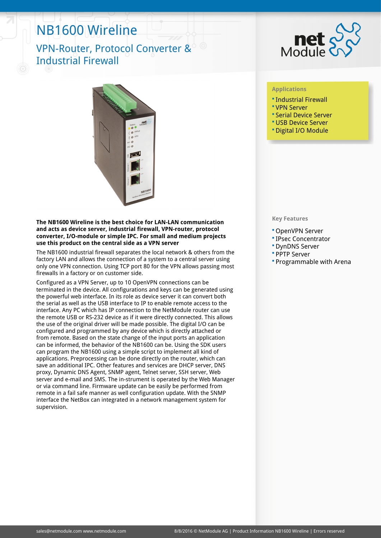# NB1600 Wireline

## VPN-Router, Protocol Converter & Industrial Firewall



### **The NB1600 Wireline is the best choice for LAN-LAN communication and acts as device server, industrial firewall, VPN-router, protocol converter, I/O-module or simple IPC. For small and medium projects use this product on the central side as a VPN server**

The NB1600 industrial firewall separates the local network & others from the factory LAN and allows the connection of a system to a central server using only one VPN connection. Using TCP port 80 for the VPN allows passing most firewalls in a factory or on customer side.

Configured as a VPN Server, up to 10 OpenVPN connections can be terminated in the device. All configurations and keys can be generated using the powerful web interface. In its role as device server it can convert both the serial as well as the USB interface to IP to enable remote access to the interface. Any PC which has IP connection to the NetModule router can use the remote USB or RS-232 device as if it were directly connected. This allows the use of the original driver will be made possible. The digital I/O can be configured and programmed by any device which is directly attached or from remote. Based on the state change of the input ports an application can be informed, the behavior of the NB1600 can be. Using the SDK users can program the NB1600 using a simple script to implement all kind of applications. Preprocessing can be done directly on the router, which can save an additional IPC. Other features and services are DHCP server, DNS proxy, Dynamic DNS Agent, SNMP agent, Telnet server, SSH server, Web server and e-mail and SMS. The in-strument is operated by the Web Manager or via command line. Firmware update can be easily be performed from remote in a fail safe manner as well configuration update. With the SNMP interface the NetBox can integrated in a network management system for supervision.



### **Applications**

- Industrial Firewall
- VPN Server
- Serial Device Server
- USB Device Server
- Digital I/O Module

#### **Key Features**

- OpenVPN Server
- IPsec Concentrator
- DynDNS Server
- PPTP Server
- Programmable with Arena